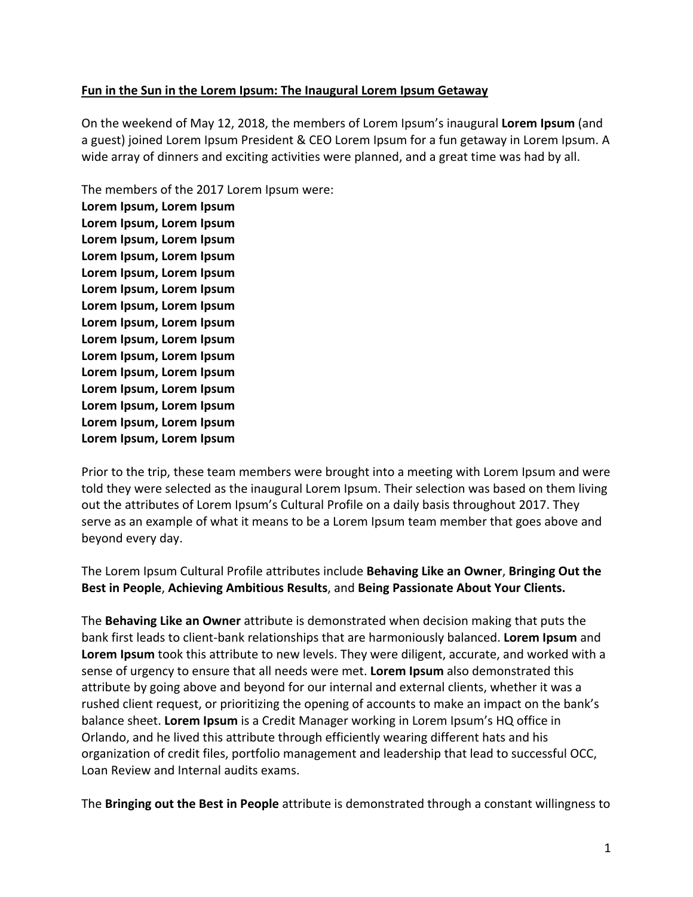## Fun in the Sun in the Lorem Ipsum: The Inaugural Lorem Ipsum Getaway

On the weekend of May 12, 2018, the members of Lorem Ipsum's inaugural **Lorem Ipsum** (and a guest) joined Lorem Ipsum President & CEO Lorem Ipsum for a fun getaway in Lorem Ipsum. A wide array of dinners and exciting activities were planned, and a great time was had by all.

The members of the 2017 Lorem Ipsum were: Lorem Ipsum, Lorem Ipsum Lorem Ipsum, Lorem Ipsum Lorem Ipsum, Lorem Ipsum Lorem Ipsum, Lorem Ipsum Lorem Ipsum, Lorem Ipsum Lorem Ipsum, Lorem Ipsum Lorem Ipsum, Lorem Ipsum Lorem Ipsum, Lorem Ipsum Lorem Ipsum, Lorem Ipsum Lorem Ipsum, Lorem Ipsum Lorem Ipsum, Lorem Ipsum Lorem Ipsum, Lorem Ipsum Lorem Ipsum, Lorem Ipsum Lorem Ipsum, Lorem Ipsum Lorem Ipsum, Lorem Ipsum

Prior to the trip, these team members were brought into a meeting with Lorem Ipsum and were told they were selected as the inaugural Lorem Ipsum. Their selection was based on them living out the attributes of Lorem Ipsum's Cultural Profile on a daily basis throughout 2017. They serve as an example of what it means to be a Lorem Ipsum team member that goes above and beyond every day.

The Lorem Ipsum Cultural Profile attributes include **Behaving Like an Owner, Bringing Out the** Best in People, Achieving Ambitious Results, and Being Passionate About Your Clients.

The **Behaving Like an Owner** attribute is demonstrated when decision making that puts the bank first leads to client-bank relationships that are harmoniously balanced. **Lorem Ipsum** and **Lorem Ipsum** took this attribute to new levels. They were diligent, accurate, and worked with a sense of urgency to ensure that all needs were met. Lorem Ipsum also demonstrated this attribute by going above and beyond for our internal and external clients, whether it was a rushed client request, or prioritizing the opening of accounts to make an impact on the bank's balance sheet. **Lorem Ipsum** is a Credit Manager working in Lorem Ipsum's HQ office in Orlando, and he lived this attribute through efficiently wearing different hats and his organization of credit files, portfolio management and leadership that lead to successful OCC, Loan Review and Internal audits exams.

The **Bringing out the Best in People** attribute is demonstrated through a constant willingness to